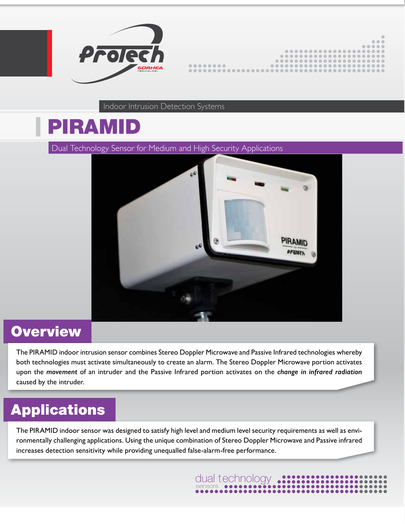

|   | $\bullet\bullet\bullet$ |
|---|-------------------------|
|   |                         |
|   |                         |
|   |                         |
|   |                         |
| . |                         |
|   |                         |
|   |                         |

Indoor Intrusion Detection Systems

# PIRAMID

Dual Technology Sensor for Medium and High Security Applications



#### **Overview**

The PIRAMID indoor intrusion sensor combines Stereo Doppler Microwave and Passive Infrared technologies whereby both technologies must activate simultaneously to create an alarm. The Stereo Doppler Microwave portion activates upon the *movement* of an intruder and the Passive Infrared portion activates on the *change in infrared radiation* caused by the intruder.

## **Applications**

The PIRAMID indoor sensor was designed to satisfy high level and medium level security requirements as well as environmentally challenging applications. Using the unique combination of Stereo Doppler Microwave and Passive infrared increases detection sensitivity while providing unequalled false-alarm-free performance.

dual technology<br>
sensors<br>
••••••••••••